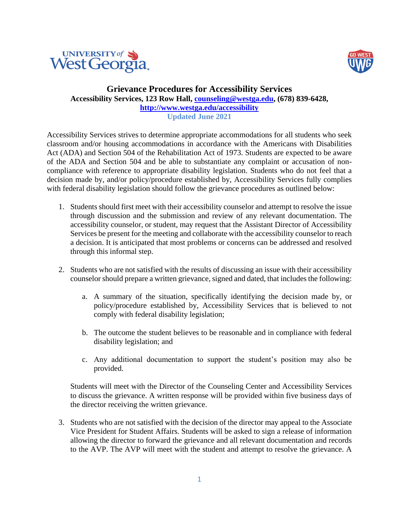



## **Grievance Procedures for Accessibility Services Accessibility Services, 123 Row Hall, [counseling@westga.edu,](mailto:counseling@westga.edu) (678) 839-6428, <http://www.westga.edu/accessibility> Updated June 2021**

Accessibility Services strives to determine appropriate accommodations for all students who seek classroom and/or housing accommodations in accordance with the Americans with Disabilities Act (ADA) and Section 504 of the Rehabilitation Act of 1973. Students are expected to be aware of the ADA and Section 504 and be able to substantiate any complaint or accusation of noncompliance with reference to appropriate disability legislation. Students who do not feel that a decision made by, and/or policy/procedure established by, Accessibility Services fully complies with federal disability legislation should follow the grievance procedures as outlined below:

- 1. Students should first meet with their accessibility counselor and attempt to resolve the issue through discussion and the submission and review of any relevant documentation. The accessibility counselor, or student, may request that the Assistant Director of Accessibility Services be present for the meeting and collaborate with the accessibility counselor to reach a decision. It is anticipated that most problems or concerns can be addressed and resolved through this informal step.
- 2. Students who are not satisfied with the results of discussing an issue with their accessibility counselor should prepare a written grievance, signed and dated, that includes the following:
	- a. A summary of the situation, specifically identifying the decision made by, or policy/procedure established by, Accessibility Services that is believed to not comply with federal disability legislation;
	- b. The outcome the student believes to be reasonable and in compliance with federal disability legislation; and
	- c. Any additional documentation to support the student's position may also be provided.

Students will meet with the Director of the Counseling Center and Accessibility Services to discuss the grievance. A written response will be provided within five business days of the director receiving the written grievance.

3. Students who are not satisfied with the decision of the director may appeal to the Associate Vice President for Student Affairs. Students will be asked to sign a release of information allowing the director to forward the grievance and all relevant documentation and records to the AVP. The AVP will meet with the student and attempt to resolve the grievance. A